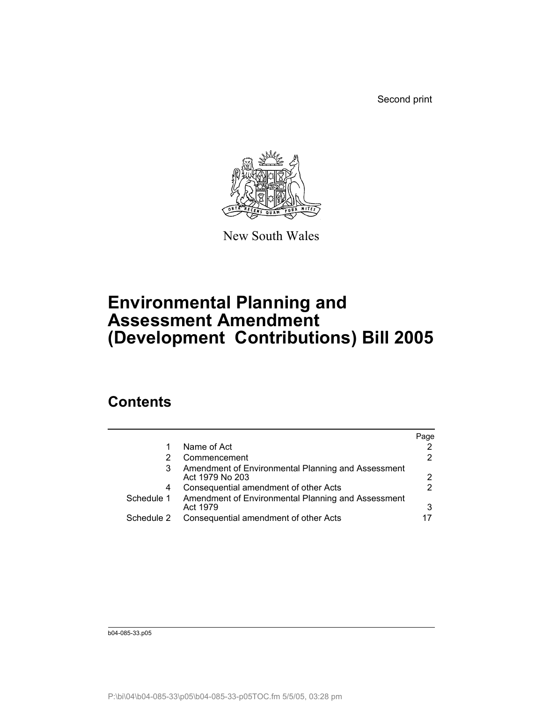Second print



New South Wales

## **Environmental Planning and Assessment Amendment (Development Contributions) Bill 2005**

## **Contents**

|                          |                                                                                                         | Page |
|--------------------------|---------------------------------------------------------------------------------------------------------|------|
|                          | Name of Act                                                                                             |      |
|                          | Commencement                                                                                            |      |
| 3                        | Amendment of Environmental Planning and Assessment<br>Act 1979 No 203                                   | 2    |
| 4                        | Consequential amendment of other Acts                                                                   |      |
| Schedule 1<br>Schedule 2 | Amendment of Environmental Planning and Assessment<br>Act 1979<br>Consequential amendment of other Acts | 3    |
|                          |                                                                                                         |      |

b04-085-33.p05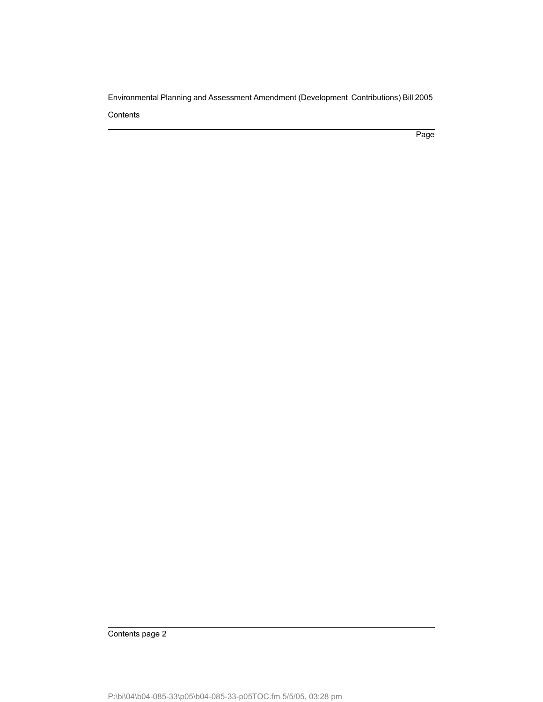Page

Contents page 2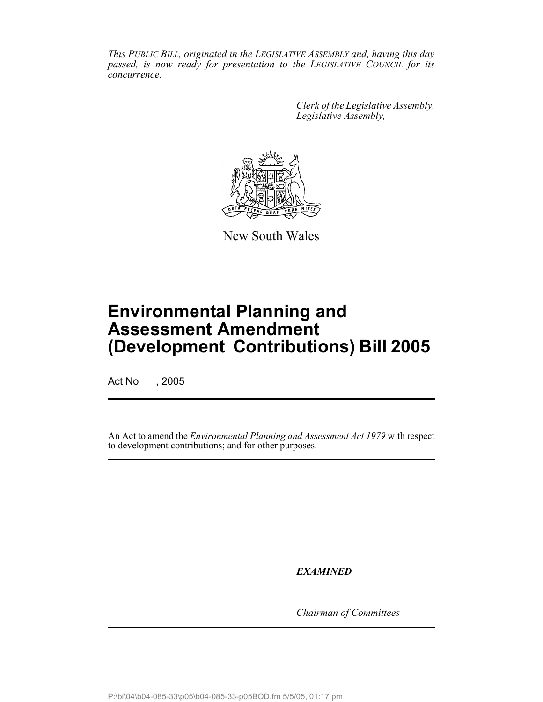*This PUBLIC BILL, originated in the LEGISLATIVE ASSEMBLY and, having this day passed, is now ready for presentation to the LEGISLATIVE COUNCIL for its concurrence.*

> *Clerk of the Legislative Assembly. Legislative Assembly,*



New South Wales

# **Environmental Planning and Assessment Amendment (Development Contributions) Bill 2005**

Act No , 2005

An Act to amend the *Environmental Planning and Assessment Act 1979* with respect to development contributions; and for other purposes.

*EXAMINED*

*Chairman of Committees*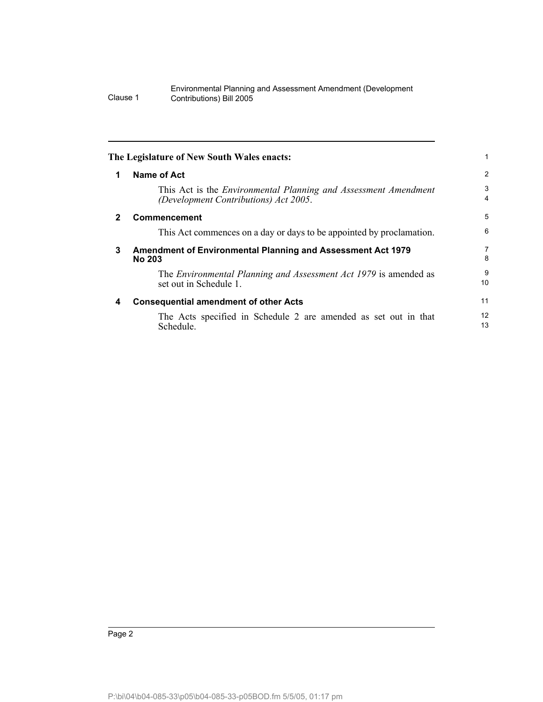|              | The Legislature of New South Wales enacts:                                                                      |          |
|--------------|-----------------------------------------------------------------------------------------------------------------|----------|
| 1            | Name of Act                                                                                                     | 2        |
|              | This Act is the <i>Environmental Planning and Assessment Amendment</i><br>(Development Contributions) Act 2005. | 3<br>4   |
| $\mathbf{2}$ | <b>Commencement</b>                                                                                             | 5        |
|              | This Act commences on a day or days to be appointed by proclamation.                                            | 6        |
| 3            | Amendment of Environmental Planning and Assessment Act 1979<br><b>No 203</b>                                    | 7<br>8   |
|              | The <i>Environmental Planning and Assessment Act 1979</i> is amended as<br>set out in Schedule 1.               | 9<br>10  |
| 4            | <b>Consequential amendment of other Acts</b>                                                                    | 11       |
|              | The Acts specified in Schedule 2 are amended as set out in that<br>Schedule.                                    | 12<br>13 |
|              |                                                                                                                 |          |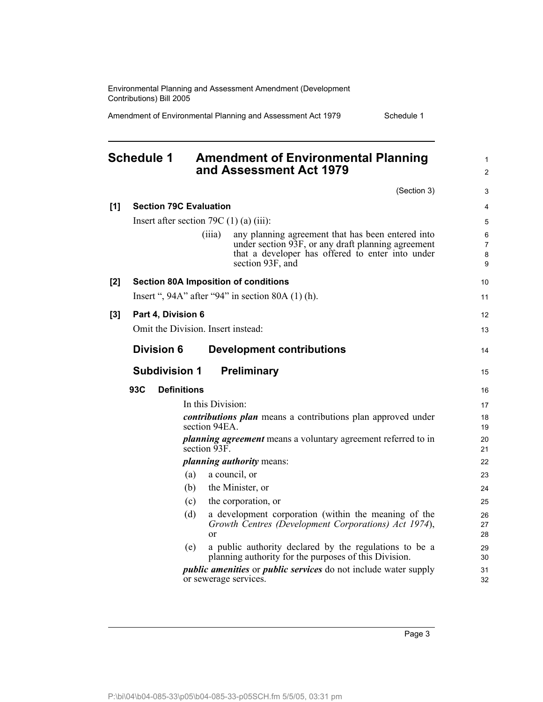Amendment of Environmental Planning and Assessment Act 1979 Schedule 1

|       | <b>Schedule 1</b>             | <b>Amendment of Environmental Planning</b><br>and Assessment Act 1979                                                                                                                    | $\mathbf{1}$<br>$\overline{2}$ |
|-------|-------------------------------|------------------------------------------------------------------------------------------------------------------------------------------------------------------------------------------|--------------------------------|
|       |                               | (Section 3)                                                                                                                                                                              | 3                              |
| [1]   | <b>Section 79C Evaluation</b> |                                                                                                                                                                                          | 4                              |
|       |                               | Insert after section 79C $(1)$ $(a)$ $(iii)$ :                                                                                                                                           | 5                              |
|       |                               | any planning agreement that has been entered into<br>(iii)<br>under section 93F, or any draft planning agreement<br>that a developer has offered to enter into under<br>section 93F, and | 6<br>$\overline{7}$<br>8<br>9  |
| [2]   |                               | <b>Section 80A Imposition of conditions</b>                                                                                                                                              | 10                             |
|       |                               | Insert ", $94A$ " after " $94$ " in section 80A (1) (h).                                                                                                                                 | 11                             |
| $[3]$ | Part 4, Division 6            |                                                                                                                                                                                          | 12                             |
|       |                               | Omit the Division. Insert instead:                                                                                                                                                       | 13                             |
|       | <b>Division 6</b>             | <b>Development contributions</b>                                                                                                                                                         | 14                             |
|       | <b>Subdivision 1</b>          | <b>Preliminary</b>                                                                                                                                                                       | 15                             |
|       | 93C<br><b>Definitions</b>     |                                                                                                                                                                                          | 16                             |
|       |                               | In this Division:                                                                                                                                                                        | 17                             |
|       |                               | <i>contributions plan</i> means a contributions plan approved under<br>section 94EA                                                                                                      | 18<br>19                       |
|       |                               | <i>planning agreement</i> means a voluntary agreement referred to in<br>section 93F.                                                                                                     | 20<br>21                       |
|       |                               | <i>planning authority means:</i>                                                                                                                                                         | 22                             |
|       | (a)                           | a council, or                                                                                                                                                                            | 23                             |
|       | (b)                           | the Minister, or                                                                                                                                                                         | 24                             |
|       | (c)                           | the corporation, or                                                                                                                                                                      | 25                             |
|       | (d)                           | a development corporation (within the meaning of the<br>Growth Centres (Development Corporations) Act 1974),<br>$\alpha$                                                                 | 26<br>27<br>28                 |
|       | (e)                           | a public authority declared by the regulations to be a<br>planning authority for the purposes of this Division.                                                                          | 29<br>30                       |
|       |                               | <i>public amenities</i> or <i>public services</i> do not include water supply<br>or sewerage services.                                                                                   | 31<br>32                       |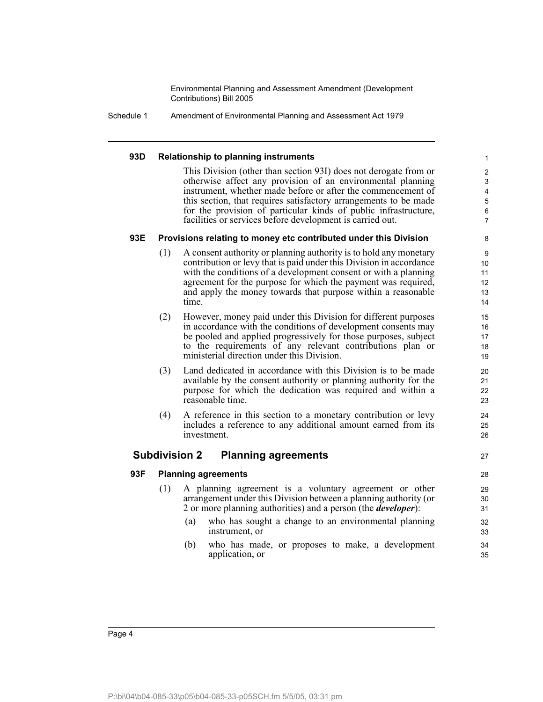Schedule 1 Amendment of Environmental Planning and Assessment Act 1979

#### **93D Relationship to planning instruments**

This Division (other than section 93I) does not derogate from or otherwise affect any provision of an environmental planning instrument, whether made before or after the commencement of this section, that requires satisfactory arrangements to be made for the provision of particular kinds of public infrastructure, facilities or services before development is carried out.

27

#### **93E Provisions relating to money etc contributed under this Division**

- (1) A consent authority or planning authority is to hold any monetary contribution or levy that is paid under this Division in accordance with the conditions of a development consent or with a planning agreement for the purpose for which the payment was required, and apply the money towards that purpose within a reasonable time.
- (2) However, money paid under this Division for different purposes in accordance with the conditions of development consents may be pooled and applied progressively for those purposes, subject to the requirements of any relevant contributions plan or ministerial direction under this Division.
- (3) Land dedicated in accordance with this Division is to be made available by the consent authority or planning authority for the purpose for which the dedication was required and within a reasonable time.
- (4) A reference in this section to a monetary contribution or levy includes a reference to any additional amount earned from its investment.

#### **Subdivision 2 Planning agreements**

### **93F Planning agreements**

- (1) A planning agreement is a voluntary agreement or other arrangement under this Division between a planning authority (or 2 or more planning authorities) and a person (the *developer*):
	- (a) who has sought a change to an environmental planning instrument, or
	- (b) who has made, or proposes to make, a development application, or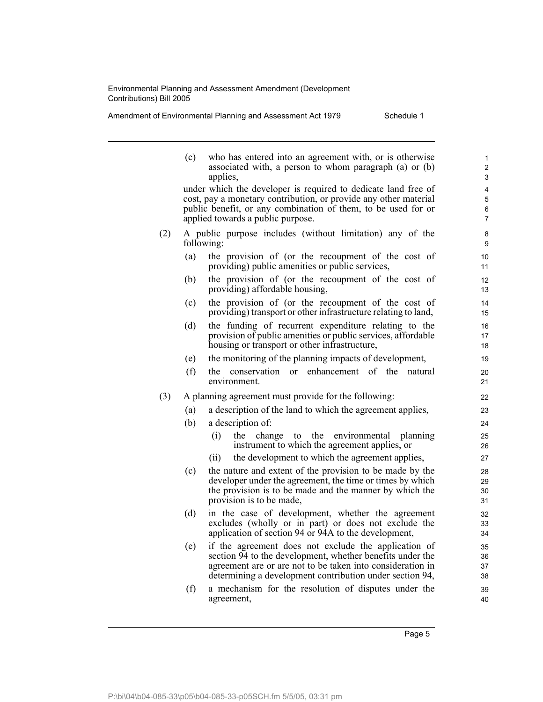Amendment of Environmental Planning and Assessment Act 1979 Schedule 1

(c) who has entered into an agreement with, or is otherwise associated with, a person to whom paragraph (a) or (b) applies,

under which the developer is required to dedicate land free of cost, pay a monetary contribution, or provide any other material public benefit, or any combination of them, to be used for or applied towards a public purpose.

- (2) A public purpose includes (without limitation) any of the following:
	- (a) the provision of (or the recoupment of the cost of providing) public amenities or public services,
	- (b) the provision of (or the recoupment of the cost of providing) affordable housing,
	- (c) the provision of (or the recoupment of the cost of providing) transport or other infrastructure relating to land,
	- (d) the funding of recurrent expenditure relating to the provision of public amenities or public services, affordable housing or transport or other infrastructure,
	- (e) the monitoring of the planning impacts of development,
	- (f) the conservation or enhancement of the natural environment.
- (3) A planning agreement must provide for the following:
	- (a) a description of the land to which the agreement applies,
	- (b) a description of:
		- (i) the change to the environmental planning instrument to which the agreement applies, or
		- (ii) the development to which the agreement applies,
	- (c) the nature and extent of the provision to be made by the developer under the agreement, the time or times by which the provision is to be made and the manner by which the provision is to be made,
	- (d) in the case of development, whether the agreement excludes (wholly or in part) or does not exclude the application of section 94 or 94A to the development,
	- (e) if the agreement does not exclude the application of section 94 to the development, whether benefits under the agreement are or are not to be taken into consideration in determining a development contribution under section 94,
	- (f) a mechanism for the resolution of disputes under the agreement,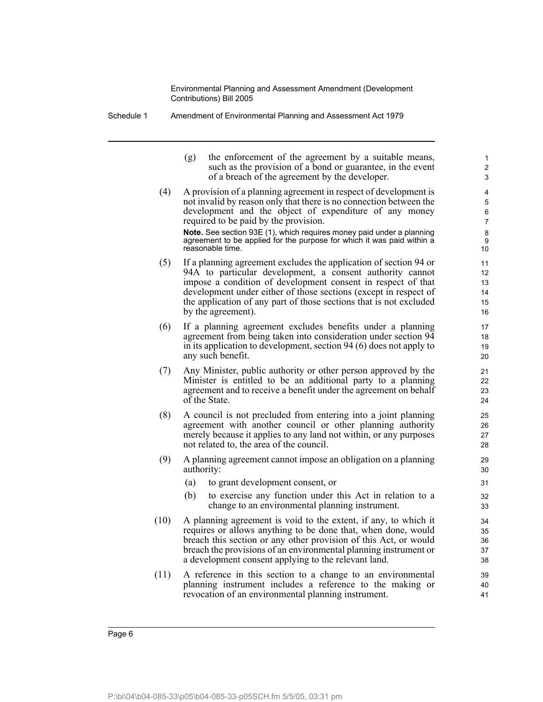| Schedule 1 | Amendment of Environmental Planning and Assessment Act 1979 |
|------------|-------------------------------------------------------------|
|------------|-------------------------------------------------------------|

(g) the enforcement of the agreement by a suitable means, such as the provision of a bond or guarantee, in the event of a breach of the agreement by the developer.

(4) A provision of a planning agreement in respect of development is not invalid by reason only that there is no connection between the development and the object of expenditure of any money required to be paid by the provision.

**Note.** See section 93E (1), which requires money paid under a planning agreement to be applied for the purpose for which it was paid within a reasonable time.

- (5) If a planning agreement excludes the application of section 94 or 94A to particular development, a consent authority cannot impose a condition of development consent in respect of that development under either of those sections (except in respect of the application of any part of those sections that is not excluded by the agreement).
- (6) If a planning agreement excludes benefits under a planning agreement from being taken into consideration under section 94 in its application to development, section 94 (6) does not apply to any such benefit.
- (7) Any Minister, public authority or other person approved by the Minister is entitled to be an additional party to a planning agreement and to receive a benefit under the agreement on behalf of the State.
- (8) A council is not precluded from entering into a joint planning agreement with another council or other planning authority merely because it applies to any land not within, or any purposes not related to, the area of the council.
- (9) A planning agreement cannot impose an obligation on a planning authority:
	- (a) to grant development consent, or
	- (b) to exercise any function under this Act in relation to a change to an environmental planning instrument.
- (10) A planning agreement is void to the extent, if any, to which it requires or allows anything to be done that, when done, would breach this section or any other provision of this Act, or would breach the provisions of an environmental planning instrument or a development consent applying to the relevant land.
- (11) A reference in this section to a change to an environmental planning instrument includes a reference to the making or revocation of an environmental planning instrument.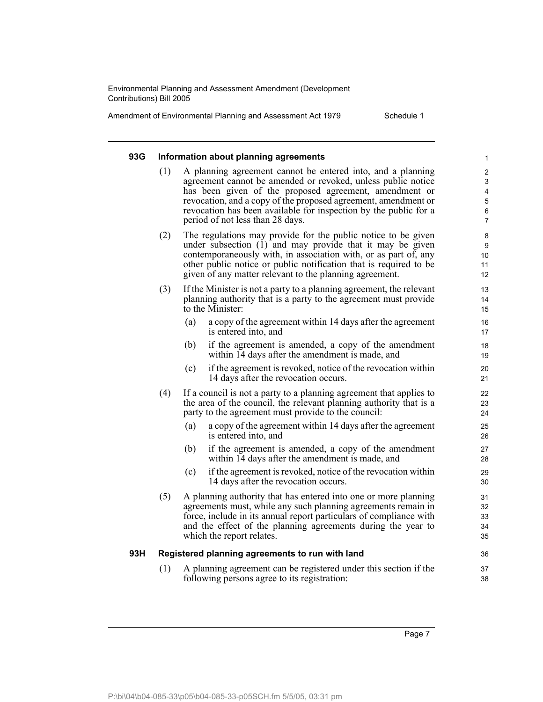Amendment of Environmental Planning and Assessment Act 1979 Schedule 1

36 37 38

#### **93G Information about planning agreements**

- (1) A planning agreement cannot be entered into, and a planning agreement cannot be amended or revoked, unless public notice has been given of the proposed agreement, amendment or revocation, and a copy of the proposed agreement, amendment or revocation has been available for inspection by the public for a period of not less than 28 days.
- (2) The regulations may provide for the public notice to be given under subsection (1) and may provide that it may be given contemporaneously with, in association with, or as part of, any other public notice or public notification that is required to be given of any matter relevant to the planning agreement.
- (3) If the Minister is not a party to a planning agreement, the relevant planning authority that is a party to the agreement must provide to the Minister:
	- (a) a copy of the agreement within 14 days after the agreement is entered into, and
	- (b) if the agreement is amended, a copy of the amendment within 14 days after the amendment is made, and
	- (c) if the agreement is revoked, notice of the revocation within 14 days after the revocation occurs.
- (4) If a council is not a party to a planning agreement that applies to the area of the council, the relevant planning authority that is a party to the agreement must provide to the council:
	- (a) a copy of the agreement within 14 days after the agreement is entered into, and
	- (b) if the agreement is amended, a copy of the amendment within 14 days after the amendment is made, and
	- (c) if the agreement is revoked, notice of the revocation within 14 days after the revocation occurs.
- (5) A planning authority that has entered into one or more planning agreements must, while any such planning agreements remain in force, include in its annual report particulars of compliance with and the effect of the planning agreements during the year to which the report relates.

#### **93H Registered planning agreements to run with land**

(1) A planning agreement can be registered under this section if the following persons agree to its registration: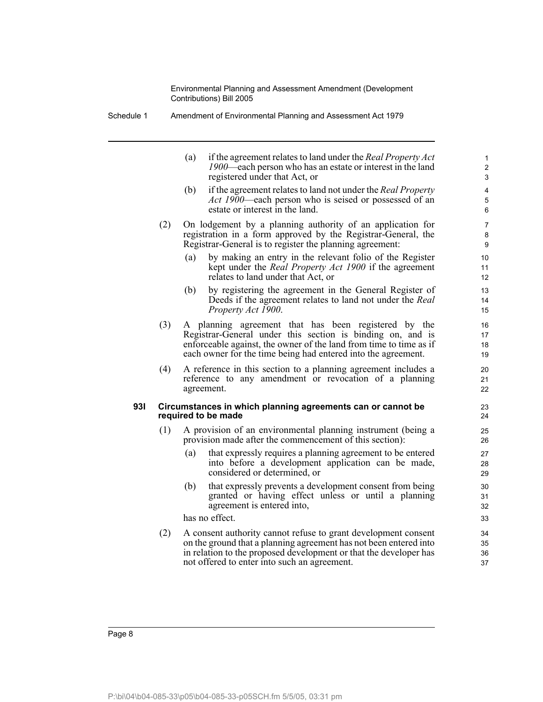| Schedule 1 | Amendment of Environmental Planning and Assessment Act 1979 |
|------------|-------------------------------------------------------------|
|------------|-------------------------------------------------------------|

(a) if the agreement relates to land under the *Real Property Act 1900*—each person who has an estate or interest in the land registered under that Act, or

- (b) if the agreement relates to land not under the *Real Property Act 1900*—each person who is seised or possessed of an estate or interest in the land.
- (2) On lodgement by a planning authority of an application for registration in a form approved by the Registrar-General, the Registrar-General is to register the planning agreement:
	- (a) by making an entry in the relevant folio of the Register kept under the *Real Property Act 1900* if the agreement relates to land under that Act, or
	- (b) by registering the agreement in the General Register of Deeds if the agreement relates to land not under the *Real Property Act 1900*.
- (3) A planning agreement that has been registered by the Registrar-General under this section is binding on, and is enforceable against, the owner of the land from time to time as if each owner for the time being had entered into the agreement.
- (4) A reference in this section to a planning agreement includes a reference to any amendment or revocation of a planning agreement.

#### **93I Circumstances in which planning agreements can or cannot be required to be made**

- (1) A provision of an environmental planning instrument (being a provision made after the commencement of this section):
	- (a) that expressly requires a planning agreement to be entered into before a development application can be made, considered or determined, or
	- (b) that expressly prevents a development consent from being granted or having effect unless or until a planning agreement is entered into,

has no effect.

(2) A consent authority cannot refuse to grant development consent on the ground that a planning agreement has not been entered into in relation to the proposed development or that the developer has not offered to enter into such an agreement.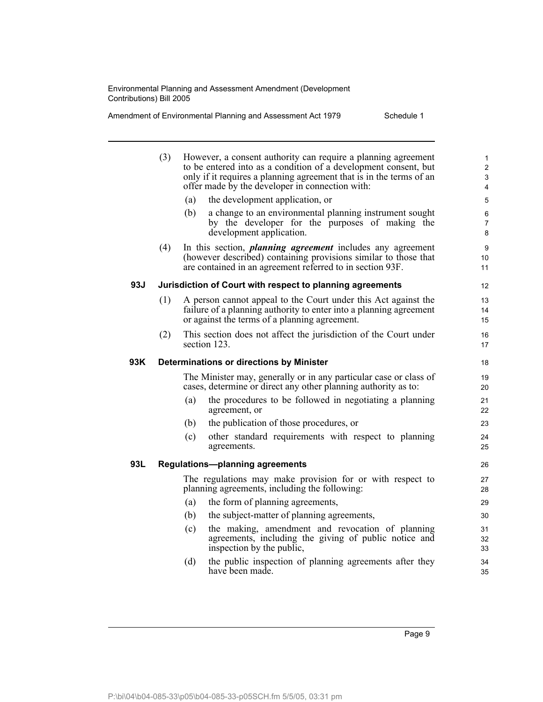| Amendment of Environmental Planning and Assessment Act 1979 | Schedule 1 |
|-------------------------------------------------------------|------------|
|-------------------------------------------------------------|------------|

|     | (3) | (a)<br>(b) | However, a consent authority can require a planning agreement<br>to be entered into as a condition of a development consent, but<br>only if it requires a planning agreement that is in the terms of an<br>offer made by the developer in connection with:<br>the development application, or<br>a change to an environmental planning instrument sought<br>by the developer for the purposes of making the<br>development application. | $\mathbf{1}$<br>$\overline{2}$<br>3<br>$\overline{4}$<br>5<br>6<br>$\overline{7}$<br>8 |
|-----|-----|------------|-----------------------------------------------------------------------------------------------------------------------------------------------------------------------------------------------------------------------------------------------------------------------------------------------------------------------------------------------------------------------------------------------------------------------------------------|----------------------------------------------------------------------------------------|
|     | (4) |            | In this section, <i>planning agreement</i> includes any agreement<br>(however described) containing provisions similar to those that<br>are contained in an agreement referred to in section 93F.                                                                                                                                                                                                                                       | 9<br>10<br>11                                                                          |
| 93J |     |            | Jurisdiction of Court with respect to planning agreements                                                                                                                                                                                                                                                                                                                                                                               | 12                                                                                     |
|     | (1) |            | A person cannot appeal to the Court under this Act against the<br>failure of a planning authority to enter into a planning agreement<br>or against the terms of a planning agreement.                                                                                                                                                                                                                                                   | 13<br>14<br>15                                                                         |
|     | (2) |            | This section does not affect the jurisdiction of the Court under<br>section 123.                                                                                                                                                                                                                                                                                                                                                        | 16<br>17                                                                               |
| 93K |     |            | <b>Determinations or directions by Minister</b>                                                                                                                                                                                                                                                                                                                                                                                         | 18                                                                                     |
|     |     |            | The Minister may, generally or in any particular case or class of<br>cases, determine or direct any other planning authority as to:                                                                                                                                                                                                                                                                                                     | 19<br>20                                                                               |
|     |     | (a)        | the procedures to be followed in negotiating a planning<br>agreement, or                                                                                                                                                                                                                                                                                                                                                                | 21<br>22                                                                               |
|     |     | (b)        | the publication of those procedures, or                                                                                                                                                                                                                                                                                                                                                                                                 | 23                                                                                     |
|     |     | (c)        | other standard requirements with respect to planning<br>agreements.                                                                                                                                                                                                                                                                                                                                                                     | 24<br>25                                                                               |
| 93L |     |            | <b>Regulations-planning agreements</b>                                                                                                                                                                                                                                                                                                                                                                                                  | 26                                                                                     |
|     |     |            | The regulations may make provision for or with respect to<br>planning agreements, including the following:                                                                                                                                                                                                                                                                                                                              | 27<br>28                                                                               |
|     |     | (a)        | the form of planning agreements,                                                                                                                                                                                                                                                                                                                                                                                                        | 29                                                                                     |
|     |     | (b)        | the subject-matter of planning agreements,                                                                                                                                                                                                                                                                                                                                                                                              | 30                                                                                     |
|     |     | (c)        | the making, amendment and revocation of planning<br>agreements, including the giving of public notice and<br>inspection by the public,                                                                                                                                                                                                                                                                                                  | 31<br>32<br>33                                                                         |
|     |     | (d)        | the public inspection of planning agreements after they<br>have been made.                                                                                                                                                                                                                                                                                                                                                              | 34<br>35                                                                               |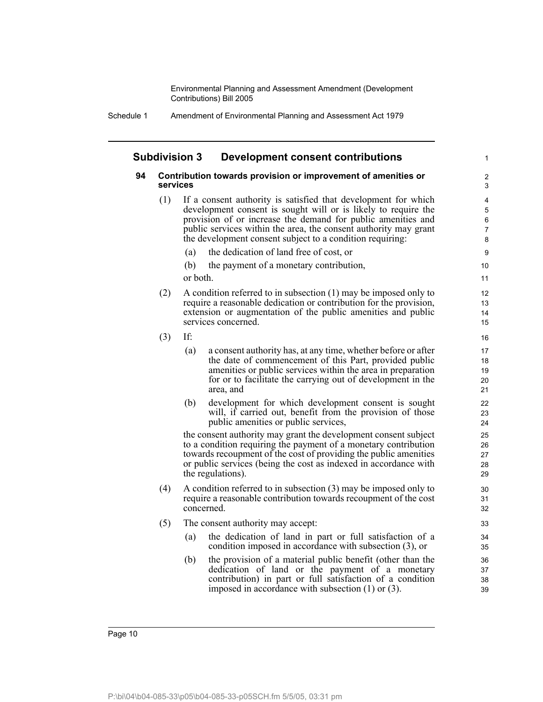| <b>Subdivision 3</b> |  |  | Development consent contributions |
|----------------------|--|--|-----------------------------------|
|----------------------|--|--|-----------------------------------|

#### **94 Contribution towards provision or improvement of amenities or services**

(1) If a consent authority is satisfied that development for which development consent is sought will or is likely to require the provision of or increase the demand for public amenities and public services within the area, the consent authority may grant the development consent subject to a condition requiring:

1

(a) the dedication of land free of cost, or

(b) the payment of a monetary contribution, or both.

- (2) A condition referred to in subsection (1) may be imposed only to require a reasonable dedication or contribution for the provision, extension or augmentation of the public amenities and public services concerned.
- (3) If:
	- (a) a consent authority has, at any time, whether before or after the date of commencement of this Part, provided public amenities or public services within the area in preparation for or to facilitate the carrying out of development in the area, and
	- (b) development for which development consent is sought will, if carried out, benefit from the provision of those public amenities or public services,

the consent authority may grant the development consent subject to a condition requiring the payment of a monetary contribution towards recoupment of the cost of providing the public amenities or public services (being the cost as indexed in accordance with the regulations).

- (4) A condition referred to in subsection (3) may be imposed only to require a reasonable contribution towards recoupment of the cost concerned.
- (5) The consent authority may accept:
	- (a) the dedication of land in part or full satisfaction of a condition imposed in accordance with subsection (3), or
	- (b) the provision of a material public benefit (other than the dedication of land or the payment of a monetary contribution) in part or full satisfaction of a condition imposed in accordance with subsection (1) or (3).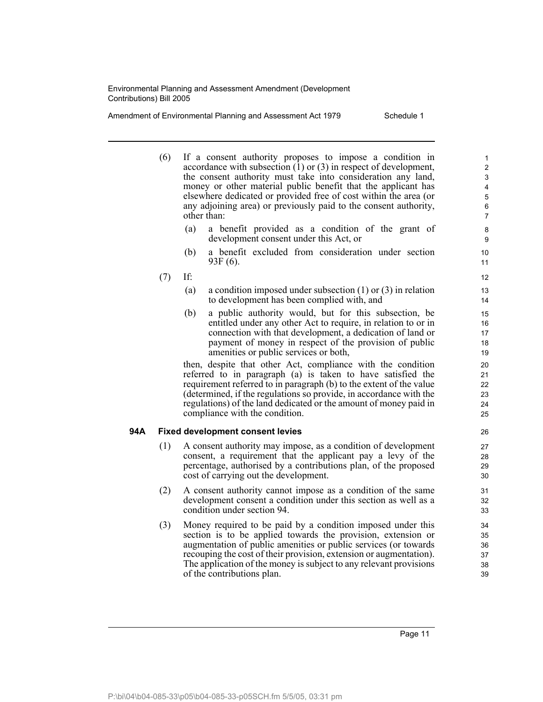Amendment of Environmental Planning and Assessment Act 1979 Schedule 1

- (6) If a consent authority proposes to impose a condition in accordance with subsection  $(1)$  or  $(3)$  in respect of development, the consent authority must take into consideration any land, money or other material public benefit that the applicant has elsewhere dedicated or provided free of cost within the area (or any adjoining area) or previously paid to the consent authority, other than:
	- (a) a benefit provided as a condition of the grant of development consent under this Act, or
	- (b) a benefit excluded from consideration under section 93F (6).

(7) If:

- (a) a condition imposed under subsection (1) or (3) in relation to development has been complied with, and
- (b) a public authority would, but for this subsection, be entitled under any other Act to require, in relation to or in connection with that development, a dedication of land or payment of money in respect of the provision of public amenities or public services or both,

then, despite that other Act, compliance with the condition referred to in paragraph (a) is taken to have satisfied the requirement referred to in paragraph (b) to the extent of the value (determined, if the regulations so provide, in accordance with the regulations) of the land dedicated or the amount of money paid in compliance with the condition.

#### **94A Fixed development consent levies**

- (1) A consent authority may impose, as a condition of development consent, a requirement that the applicant pay a levy of the percentage, authorised by a contributions plan, of the proposed cost of carrying out the development.
- (2) A consent authority cannot impose as a condition of the same development consent a condition under this section as well as a condition under section 94.
- (3) Money required to be paid by a condition imposed under this section is to be applied towards the provision, extension or augmentation of public amenities or public services (or towards recouping the cost of their provision, extension or augmentation). The application of the money is subject to any relevant provisions of the contributions plan.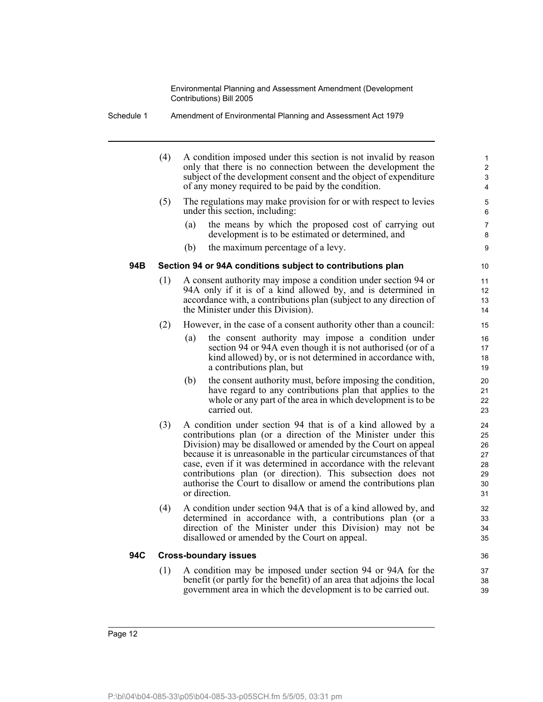| Schedule 1 | Amendment of Environmental Planning and Assessment Act 1979 |
|------------|-------------------------------------------------------------|
|------------|-------------------------------------------------------------|

|     | (4)                          | A condition imposed under this section is not invalid by reason<br>only that there is no connection between the development the<br>subject of the development consent and the object of expenditure<br>of any money required to be paid by the condition.                                                                                                                                                                                                                                 | 1<br>$\overline{c}$<br>3<br>4                |  |
|-----|------------------------------|-------------------------------------------------------------------------------------------------------------------------------------------------------------------------------------------------------------------------------------------------------------------------------------------------------------------------------------------------------------------------------------------------------------------------------------------------------------------------------------------|----------------------------------------------|--|
|     | (5)                          | The regulations may make provision for or with respect to levies<br>under this section, including:                                                                                                                                                                                                                                                                                                                                                                                        | 5<br>6                                       |  |
|     |                              | the means by which the proposed cost of carrying out<br>(a)<br>development is to be estimated or determined, and                                                                                                                                                                                                                                                                                                                                                                          | $\overline{7}$<br>8                          |  |
|     |                              | the maximum percentage of a levy.<br>(b)                                                                                                                                                                                                                                                                                                                                                                                                                                                  | 9                                            |  |
| 94B |                              | Section 94 or 94A conditions subject to contributions plan                                                                                                                                                                                                                                                                                                                                                                                                                                | 10                                           |  |
|     | (1)                          | A consent authority may impose a condition under section 94 or<br>94A only if it is of a kind allowed by, and is determined in<br>accordance with, a contributions plan (subject to any direction of<br>the Minister under this Division).                                                                                                                                                                                                                                                | 11<br>12<br>13<br>14                         |  |
|     | (2)                          | However, in the case of a consent authority other than a council:                                                                                                                                                                                                                                                                                                                                                                                                                         | 15                                           |  |
|     |                              | the consent authority may impose a condition under<br>(a)<br>section 94 or 94A even though it is not authorised (or of a<br>kind allowed) by, or is not determined in accordance with,<br>a contributions plan, but                                                                                                                                                                                                                                                                       | 16<br>17<br>18<br>19                         |  |
|     |                              | the consent authority must, before imposing the condition,<br>(b)<br>have regard to any contributions plan that applies to the<br>whole or any part of the area in which development is to be<br>carried out.                                                                                                                                                                                                                                                                             | 20<br>21<br>22<br>23                         |  |
|     | (3)                          | A condition under section 94 that is of a kind allowed by a<br>contributions plan (or a direction of the Minister under this<br>Division) may be disallowed or amended by the Court on appeal<br>because it is unreasonable in the particular circumstances of that<br>case, even if it was determined in accordance with the relevant<br>contributions plan (or direction). This subsection does not<br>authorise the Court to disallow or amend the contributions plan<br>or direction. | 24<br>25<br>26<br>27<br>28<br>29<br>30<br>31 |  |
|     | (4)                          | A condition under section 94A that is of a kind allowed by, and<br>determined in accordance with, a contributions plan (or a<br>direction of the Minister under this Division) may not be<br>disallowed or amended by the Court on appeal.                                                                                                                                                                                                                                                | 32<br>33<br>34<br>35                         |  |
| 94C | <b>Cross-boundary issues</b> |                                                                                                                                                                                                                                                                                                                                                                                                                                                                                           |                                              |  |
|     | (1)                          | A condition may be imposed under section 94 or 94A for the<br>benefit (or partly for the benefit) of an area that adjoins the local<br>government area in which the development is to be carried out.                                                                                                                                                                                                                                                                                     | 37<br>38<br>39                               |  |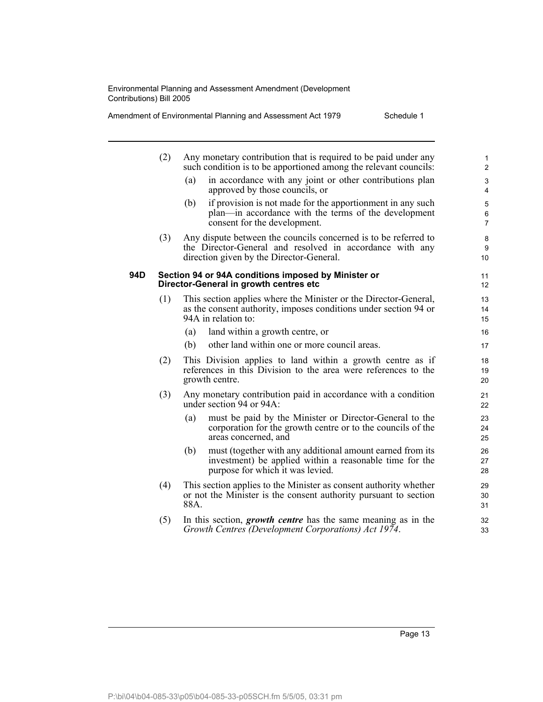| Amendment of Environmental Planning and Assessment Act 1979 | Schedule 1 |
|-------------------------------------------------------------|------------|
|-------------------------------------------------------------|------------|

|     | (2) | Any monetary contribution that is required to be paid under any<br>such condition is to be apportioned among the relevant councils:                                     | $\mathbf{1}$<br>$\overline{2}$ |
|-----|-----|-------------------------------------------------------------------------------------------------------------------------------------------------------------------------|--------------------------------|
|     |     | in accordance with any joint or other contributions plan<br>(a)<br>approved by those councils, or                                                                       | 3<br>$\overline{4}$            |
|     |     | if provision is not made for the apportionment in any such<br>(b)<br>plan—in accordance with the terms of the development<br>consent for the development.               | 5<br>$\,6\,$<br>$\overline{7}$ |
|     | (3) | Any dispute between the councils concerned is to be referred to<br>the Director-General and resolved in accordance with any<br>direction given by the Director-General. | 8<br>9<br>10                   |
| 94D |     | Section 94 or 94A conditions imposed by Minister or<br>Director-General in growth centres etc                                                                           | 11<br>12                       |
|     | (1) | This section applies where the Minister or the Director-General,<br>as the consent authority, imposes conditions under section 94 or<br>94A in relation to:             | 13<br>14<br>15                 |
|     |     | land within a growth centre, or<br>(a)                                                                                                                                  | 16                             |
|     |     | other land within one or more council areas.<br>(b)                                                                                                                     | 17                             |
|     | (2) | This Division applies to land within a growth centre as if<br>references in this Division to the area were references to the<br>growth centre.                          | 18<br>19<br>20                 |
|     | (3) | Any monetary contribution paid in accordance with a condition<br>under section 94 or 94A:                                                                               | 21<br>22                       |
|     |     | must be paid by the Minister or Director-General to the<br>(a)<br>corporation for the growth centre or to the councils of the<br>areas concerned, and                   | 23<br>24<br>25                 |
|     |     | must (together with any additional amount earned from its<br>(b)<br>investment) be applied within a reasonable time for the<br>purpose for which it was levied.         | 26<br>27<br>28                 |
|     | (4) | This section applies to the Minister as consent authority whether<br>or not the Minister is the consent authority pursuant to section<br>88A.                           | 29<br>30<br>31                 |
|     | (5) | In this section, <i>growth centre</i> has the same meaning as in the<br>Growth Centres (Development Corporations) Act 1974.                                             | 32<br>33                       |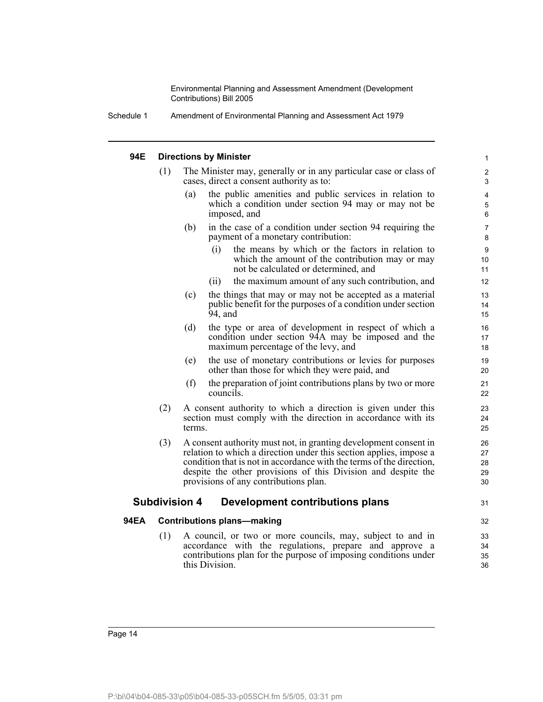Schedule 1 Amendment of Environmental Planning and Assessment Act 1979

#### **94E Directions by Minister**

- (1) The Minister may, generally or in any particular case or class of cases, direct a consent authority as to:
	- (a) the public amenities and public services in relation to which a condition under section 94 may or may not be imposed, and
	- (b) in the case of a condition under section 94 requiring the payment of a monetary contribution:
		- (i) the means by which or the factors in relation to which the amount of the contribution may or may not be calculated or determined, and
		- (ii) the maximum amount of any such contribution, and
	- (c) the things that may or may not be accepted as a material public benefit for the purposes of a condition under section 94, and
	- (d) the type or area of development in respect of which a condition under section 94A may be imposed and the maximum percentage of the levy, and
	- (e) the use of monetary contributions or levies for purposes other than those for which they were paid, and
	- (f) the preparation of joint contributions plans by two or more councils.
- (2) A consent authority to which a direction is given under this section must comply with the direction in accordance with its terms.
- (3) A consent authority must not, in granting development consent in relation to which a direction under this section applies, impose a condition that is not in accordance with the terms of the direction, despite the other provisions of this Division and despite the provisions of any contributions plan.

#### **Subdivision 4 Development contributions plans**

### 31 32

#### **94EA Contributions plans—making**

(1) A council, or two or more councils, may, subject to and in accordance with the regulations, prepare and approve a contributions plan for the purpose of imposing conditions under this Division.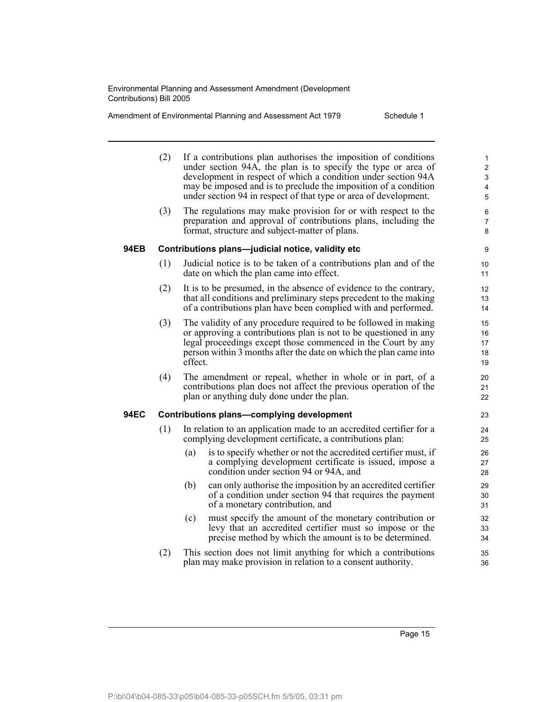Amendment of Environmental Planning and Assessment Act 1979 Schedule 1

| (2) | If a contributions plan authorises the imposition of conditions  |
|-----|------------------------------------------------------------------|
|     | under section 94A, the plan is to specify the type or area of    |
|     | development in respect of which a condition under section 94A    |
|     | may be imposed and is to preclude the imposition of a condition  |
|     | under section 94 in respect of that type or area of development. |

(3) The regulations may make provision for or with respect to the preparation and approval of contributions plans, including the format, structure and subject-matter of plans.

#### **94EB Contributions plans—judicial notice, validity etc**

- (1) Judicial notice is to be taken of a contributions plan and of the date on which the plan came into effect.
- (2) It is to be presumed, in the absence of evidence to the contrary, that all conditions and preliminary steps precedent to the making of a contributions plan have been complied with and performed.
- (3) The validity of any procedure required to be followed in making or approving a contributions plan is not to be questioned in any legal proceedings except those commenced in the Court by any person within 3 months after the date on which the plan came into effect.
- (4) The amendment or repeal, whether in whole or in part, of a contributions plan does not affect the previous operation of the plan or anything duly done under the plan.

#### **94EC Contributions plans—complying development**

- (1) In relation to an application made to an accredited certifier for a complying development certificate, a contributions plan:
	- (a) is to specify whether or not the accredited certifier must, if a complying development certificate is issued, impose a condition under section 94 or 94A, and
	- (b) can only authorise the imposition by an accredited certifier of a condition under section 94 that requires the payment of a monetary contribution, and
	- (c) must specify the amount of the monetary contribution or levy that an accredited certifier must so impose or the precise method by which the amount is to be determined.
- (2) This section does not limit anything for which a contributions plan may make provision in relation to a consent authority.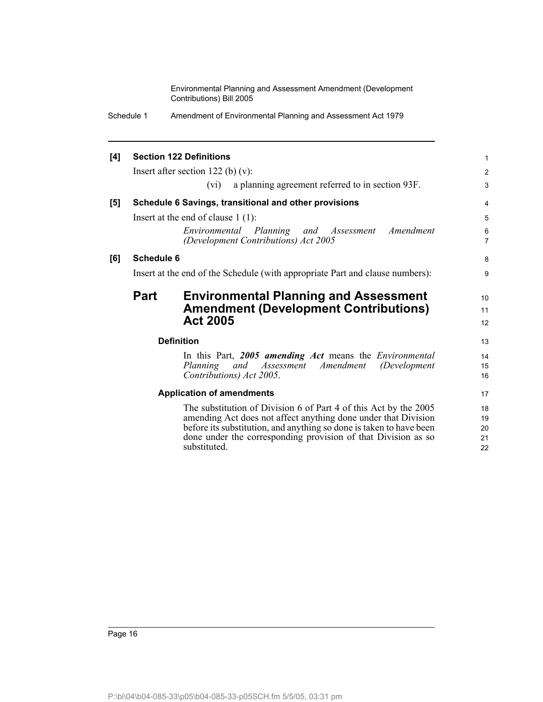Schedule 1 Amendment of Environmental Planning and Assessment Act 1979

| [4]                              |                                              | <b>Section 122 Definitions</b>                                                                                                       | $\mathbf{1}$        |  |  |
|----------------------------------|----------------------------------------------|--------------------------------------------------------------------------------------------------------------------------------------|---------------------|--|--|
|                                  |                                              | Insert after section 122 (b) $(v)$ :                                                                                                 | $\mathbf{2}$        |  |  |
|                                  |                                              | a planning agreement referred to in section 93F.<br>(vi)                                                                             | 3                   |  |  |
| [5]                              |                                              | Schedule 6 Savings, transitional and other provisions                                                                                | $\overline{4}$      |  |  |
|                                  |                                              | Insert at the end of clause $1(1)$ :                                                                                                 | 5                   |  |  |
|                                  |                                              | Environmental Planning<br>and Assessment Amendment<br>(Development Contributions) Act 2005                                           | 6<br>$\overline{7}$ |  |  |
| [6]                              | <b>Schedule 6</b>                            |                                                                                                                                      | 8                   |  |  |
|                                  |                                              | Insert at the end of the Schedule (with appropriate Part and clause numbers):                                                        | 9                   |  |  |
|                                  | <b>Part</b>                                  | <b>Environmental Planning and Assessment</b>                                                                                         | 10                  |  |  |
|                                  | <b>Amendment (Development Contributions)</b> |                                                                                                                                      | 11                  |  |  |
|                                  |                                              | <b>Act 2005</b>                                                                                                                      | 12                  |  |  |
|                                  | <b>Definition</b>                            |                                                                                                                                      |                     |  |  |
|                                  |                                              | In this Part, 2005 amending Act means the <i>Environmental</i>                                                                       | 14                  |  |  |
|                                  |                                              | Planning and Assessment Amendment<br>(Development                                                                                    | 15                  |  |  |
|                                  |                                              | Contributions) Act 2005.                                                                                                             | 16                  |  |  |
| <b>Application of amendments</b> |                                              |                                                                                                                                      | 17                  |  |  |
|                                  |                                              | The substitution of Division 6 of Part 4 of this Act by the 2005                                                                     | 18                  |  |  |
|                                  |                                              | amending Act does not affect anything done under that Division                                                                       | 19                  |  |  |
|                                  |                                              | before its substitution, and anything so done is taken to have been<br>done under the corresponding provision of that Division as so | 20<br>21            |  |  |
|                                  |                                              | substituted.                                                                                                                         | 22                  |  |  |
|                                  |                                              |                                                                                                                                      |                     |  |  |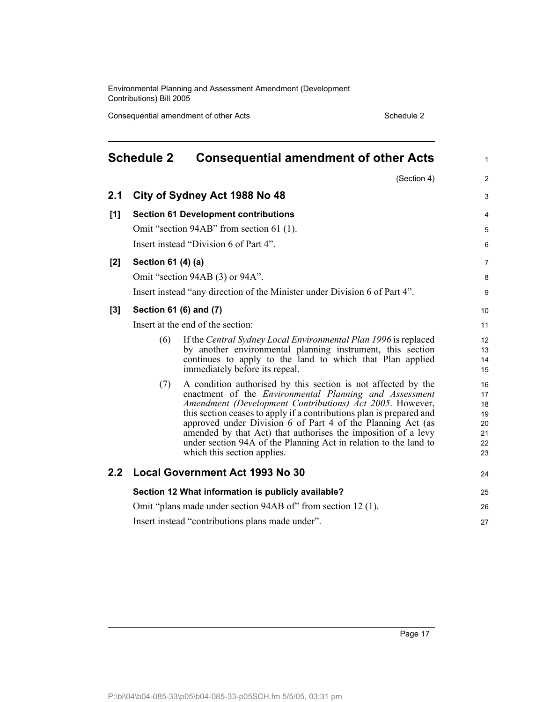Consequential amendment of other Acts Schedule 2

| <b>Schedule 2</b><br><b>Consequential amendment of other Acts</b> |                                                                                                                                                                        |                                                                                                                                                                                                                                                                                                                                                                                                                                                                                                       |                                              |  |  |
|-------------------------------------------------------------------|------------------------------------------------------------------------------------------------------------------------------------------------------------------------|-------------------------------------------------------------------------------------------------------------------------------------------------------------------------------------------------------------------------------------------------------------------------------------------------------------------------------------------------------------------------------------------------------------------------------------------------------------------------------------------------------|----------------------------------------------|--|--|
|                                                                   |                                                                                                                                                                        | (Section 4)                                                                                                                                                                                                                                                                                                                                                                                                                                                                                           | 2                                            |  |  |
| 2.1                                                               | City of Sydney Act 1988 No 48                                                                                                                                          |                                                                                                                                                                                                                                                                                                                                                                                                                                                                                                       |                                              |  |  |
| [1]                                                               |                                                                                                                                                                        | <b>Section 61 Development contributions</b>                                                                                                                                                                                                                                                                                                                                                                                                                                                           | 4                                            |  |  |
|                                                                   | Omit "section 94AB" from section 61 (1).                                                                                                                               |                                                                                                                                                                                                                                                                                                                                                                                                                                                                                                       |                                              |  |  |
|                                                                   |                                                                                                                                                                        | Insert instead "Division 6 of Part 4".                                                                                                                                                                                                                                                                                                                                                                                                                                                                | 6                                            |  |  |
| [2]                                                               | Section 61 (4) (a)                                                                                                                                                     |                                                                                                                                                                                                                                                                                                                                                                                                                                                                                                       | 7                                            |  |  |
|                                                                   |                                                                                                                                                                        | Omit "section 94AB (3) or 94A".                                                                                                                                                                                                                                                                                                                                                                                                                                                                       | 8                                            |  |  |
|                                                                   |                                                                                                                                                                        | Insert instead "any direction of the Minister under Division 6 of Part 4".                                                                                                                                                                                                                                                                                                                                                                                                                            | 9                                            |  |  |
| [3]                                                               |                                                                                                                                                                        | Section 61 (6) and (7)                                                                                                                                                                                                                                                                                                                                                                                                                                                                                | 10                                           |  |  |
|                                                                   | Insert at the end of the section:                                                                                                                                      |                                                                                                                                                                                                                                                                                                                                                                                                                                                                                                       |                                              |  |  |
|                                                                   | (6)                                                                                                                                                                    | If the Central Sydney Local Environmental Plan 1996 is replaced<br>by another environmental planning instrument, this section<br>continues to apply to the land to which that Plan applied<br>immediately before its repeal.                                                                                                                                                                                                                                                                          | 12<br>13<br>14<br>15                         |  |  |
|                                                                   | (7)                                                                                                                                                                    | A condition authorised by this section is not affected by the<br>enactment of the <i>Environmental Planning and Assessment</i><br>Amendment (Development Contributions) Act 2005. However,<br>this section ceases to apply if a contributions plan is prepared and<br>approved under Division 6 of Part 4 of the Planning Act (as<br>amended by that Act) that authorises the imposition of a levy<br>under section 94A of the Planning Act in relation to the land to<br>which this section applies. | 16<br>17<br>18<br>19<br>20<br>21<br>22<br>23 |  |  |
| 2.2 <sub>2</sub>                                                  |                                                                                                                                                                        | <b>Local Government Act 1993 No 30</b>                                                                                                                                                                                                                                                                                                                                                                                                                                                                | 24                                           |  |  |
|                                                                   | Section 12 What information is publicly available?<br>Omit "plans made under section 94AB of" from section 12 (1).<br>Insert instead "contributions plans made under". |                                                                                                                                                                                                                                                                                                                                                                                                                                                                                                       |                                              |  |  |
|                                                                   |                                                                                                                                                                        |                                                                                                                                                                                                                                                                                                                                                                                                                                                                                                       |                                              |  |  |
|                                                                   |                                                                                                                                                                        |                                                                                                                                                                                                                                                                                                                                                                                                                                                                                                       |                                              |  |  |

Page 17